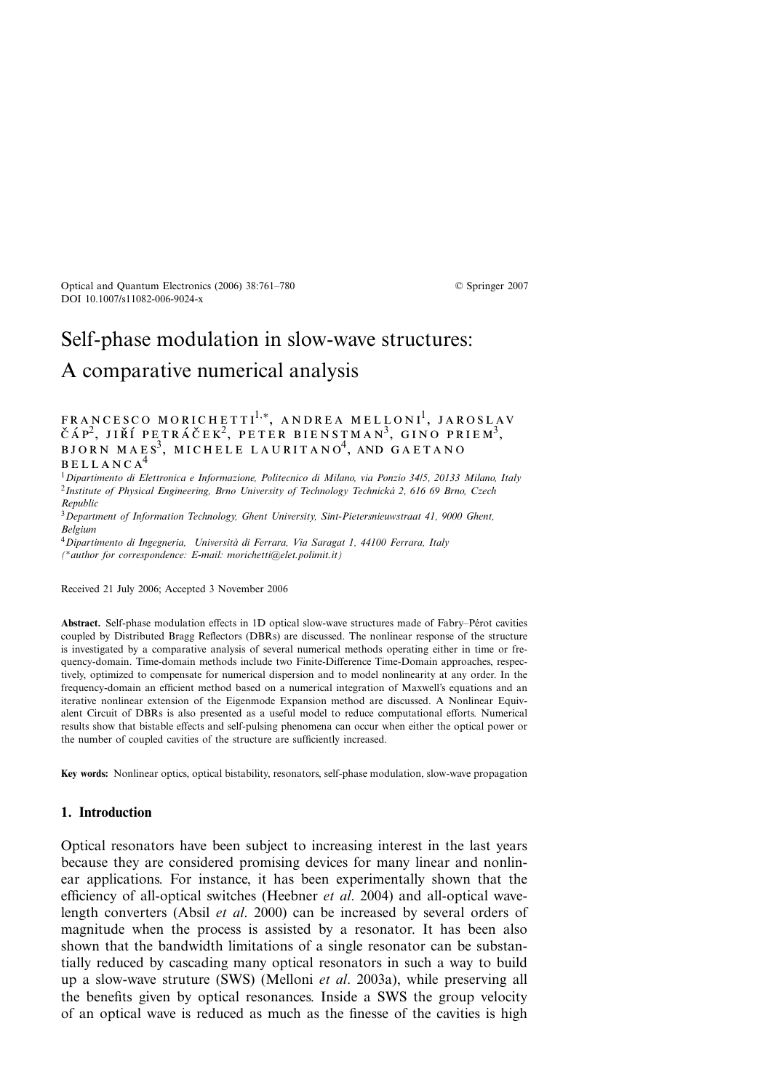# Self-phase modulation in slow-wave structures: A comparative numerical analysis

## $\texttt{FRANCESCO MORICHETTI}^{1,*}, \texttt{ANDREA MELLONI}^{1}, \texttt{JAROSLAN}$ ČÁP<sup>2</sup>, JIŘÍ PETRÁČEK<sup>2</sup>, PETER BIENSTMAN<sup>3</sup>, GINO PRIEM<sup>3</sup>,<br>BJORN MAES<sup>3</sup>, MICHELE LAURITANO<sup>4</sup>, AND GAETANO bellanca<sup>4</sup>

<sup>1</sup>*Dipartimento di Elettronica e Informazione, Politecnico di Milano, via Ponzio 34/5, 20133 Milano, Italy* <sup>2</sup>*Institute of Physical Engineering, Brno University of Technology Technicka 2, 616 69 Brno, Czech ´ Republic*

<sup>3</sup>*Department of Information Technology, Ghent University, Sint-Pietersnieuwstraat 41, 9000 Ghent, Belgium*

<sup>4</sup>*Dipartimento di Ingegneria, Università di Ferrara, Via Saragat 1, 44100 Ferrara, Italy (*∗*author for correspondence: E-mail: morichetti@elet.polimit.it)*

Received 21 July 2006; Accepted 3 November 2006

**Abstract.** Self-phase modulation effects in 1D optical slow-wave structures made of Fabry–Perot cavities ´ coupled by Distributed Bragg Reflectors (DBRs) are discussed. The nonlinear response of the structure is investigated by a comparative analysis of several numerical methods operating either in time or frequency-domain. Time-domain methods include two Finite-Difference Time-Domain approaches, respectively, optimized to compensate for numerical dispersion and to model nonlinearity at any order. In the frequency-domain an efficient method based on a numerical integration of Maxwell's equations and an iterative nonlinear extension of the Eigenmode Expansion method are discussed. A Nonlinear Equivalent Circuit of DBRs is also presented as a useful model to reduce computational efforts. Numerical results show that bistable effects and self-pulsing phenomena can occur when either the optical power or the number of coupled cavities of the structure are sufficiently increased.

**Key words:** Nonlinear optics, optical bistability, resonators, self-phase modulation, slow-wave propagation

#### **1. Introduction**

Optical resonators have been subject to increasing interest in the last years because they are considered promising devices for many linear and nonlinear applications. For instance, it has been experimentally shown that the efficiency of all-optical switches (Heebner *et al*. 2004) and all-optical wavelength converters (Absil *et al*. 2000) can be increased by several orders of magnitude when the process is assisted by a resonator. It has been also shown that the bandwidth limitations of a single resonator can be substantially reduced by cascading many optical resonators in such a way to build up a slow-wave struture (SWS) (Melloni *et al*. 2003a), while preserving all the benefits given by optical resonances. Inside a SWS the group velocity of an optical wave is reduced as much as the finesse of the cavities is high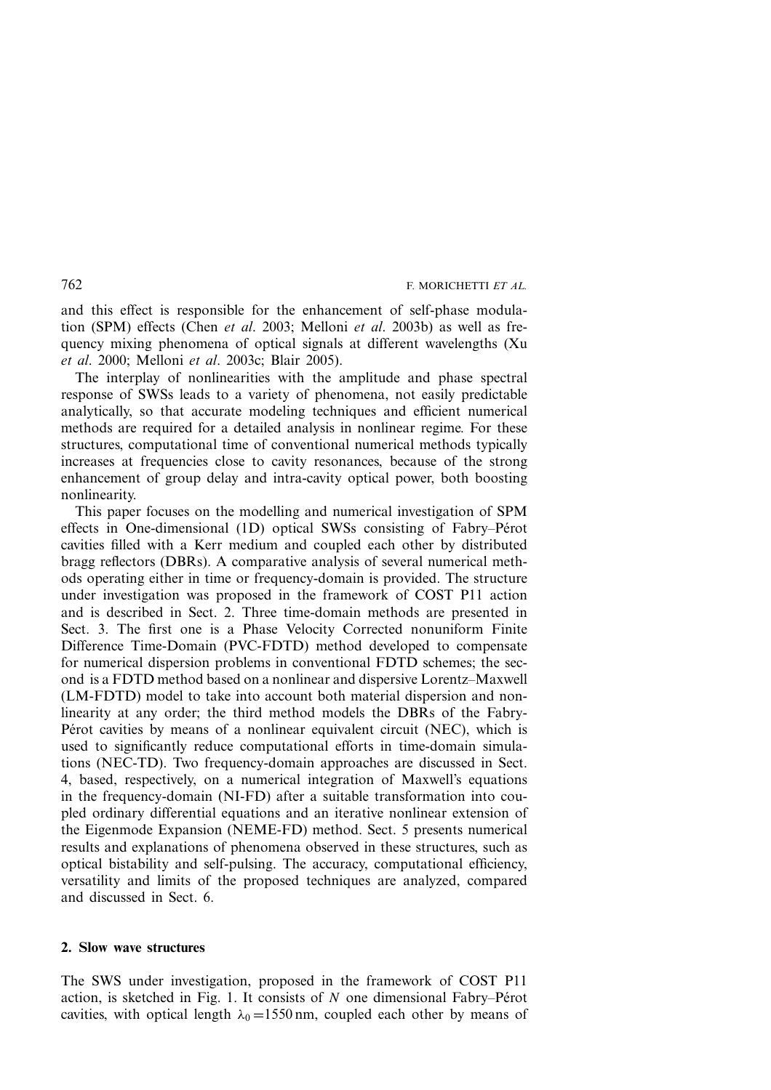and this effect is responsible for the enhancement of self-phase modulation (SPM) effects (Chen *et al*. 2003; Melloni *et al*. 2003b) as well as frequency mixing phenomena of optical signals at different wavelengths (Xu *et al*. 2000; Melloni *et al*. 2003c; Blair 2005).

The interplay of nonlinearities with the amplitude and phase spectral response of SWSs leads to a variety of phenomena, not easily predictable analytically, so that accurate modeling techniques and efficient numerical methods are required for a detailed analysis in nonlinear regime. For these structures, computational time of conventional numerical methods typically increases at frequencies close to cavity resonances, because of the strong enhancement of group delay and intra-cavity optical power, both boosting nonlinearity.

This paper focuses on the modelling and numerical investigation of SPM effects in One-dimensional (1D) optical SWSs consisting of Fabry–Pérot cavities filled with a Kerr medium and coupled each other by distributed bragg reflectors (DBRs). A comparative analysis of several numerical methods operating either in time or frequency-domain is provided. The structure under investigation was proposed in the framework of COST P11 action and is described in Sect. 2. Three time-domain methods are presented in Sect. 3. The first one is a Phase Velocity Corrected nonuniform Finite Difference Time-Domain (PVC-FDTD) method developed to compensate for numerical dispersion problems in conventional FDTD schemes; the second is a FDTD method based on a nonlinear and dispersive Lorentz–Maxwell (LM-FDTD) model to take into account both material dispersion and nonlinearity at any order; the third method models the DBRs of the Fabry-Pérot cavities by means of a nonlinear equivalent circuit (NEC), which is used to significantly reduce computational efforts in time-domain simulations (NEC-TD). Two frequency-domain approaches are discussed in Sect. 4, based, respectively, on a numerical integration of Maxwell's equations in the frequency-domain (NI-FD) after a suitable transformation into coupled ordinary differential equations and an iterative nonlinear extension of the Eigenmode Expansion (NEME-FD) method. Sect. 5 presents numerical results and explanations of phenomena observed in these structures, such as optical bistability and self-pulsing. The accuracy, computational efficiency, versatility and limits of the proposed techniques are analyzed, compared and discussed in Sect. 6.

#### **2. Slow wave structures**

The SWS under investigation, proposed in the framework of COST P11 action, is sketched in Fig. 1. It consists of  $N$  one dimensional Fabry–Pérot cavities, with optical length  $\lambda_0 = 1550$  nm, coupled each other by means of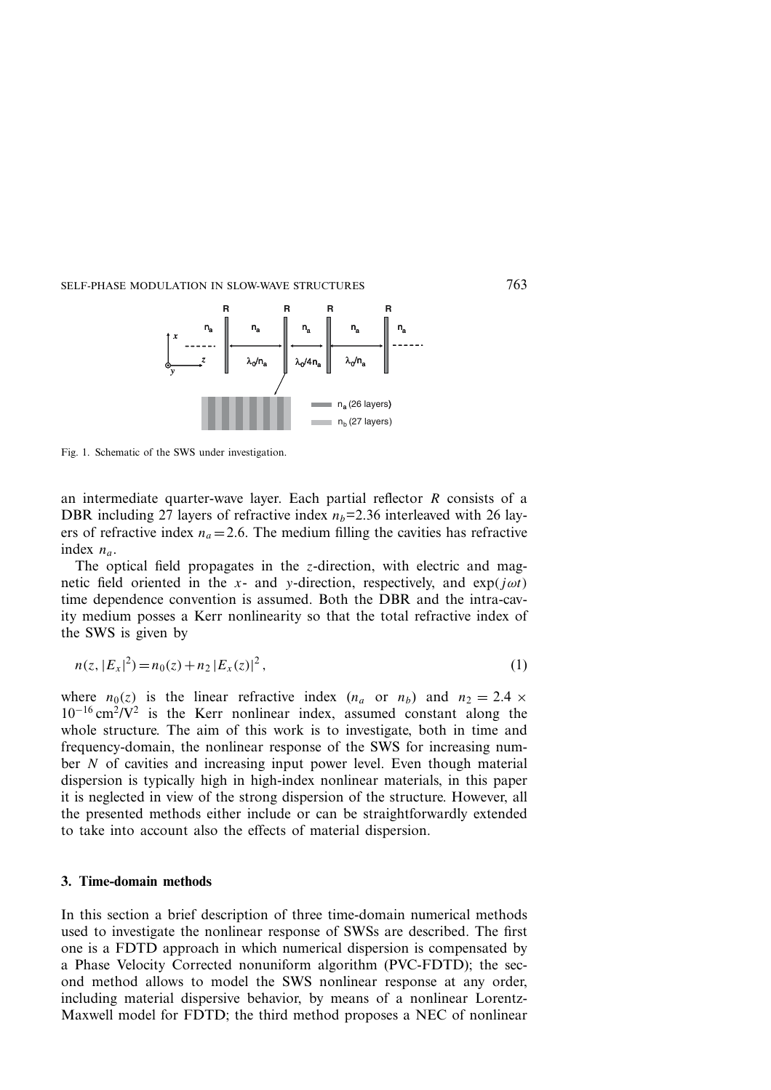

Fig. 1. Schematic of the SWS under investigation.

an intermediate quarter-wave layer. Each partial reflector R consists of a DBR including 27 layers of refractive index  $n_b=2.36$  interleaved with 26 layers of refractive index  $n_a = 2.6$ . The medium filling the cavities has refractive index  $n_a$ .

The optical field propagates in the  $z$ -direction, with electric and magnetic field oriented in the x- and y-direction, respectively, and  $\exp(i\omega t)$ time dependence convention is assumed. Both the DBR and the intra-cavity medium posses a Kerr nonlinearity so that the total refractive index of the SWS is given by

$$
n(z, |E_x|^2) = n_0(z) + n_2 |E_x(z)|^2,
$$
\n(1)

where  $n_0(z)$  is the linear refractive index  $(n_a \text{ or } n_b)$  and  $n_2 = 2.4 \times$  $10^{-16}$  cm<sup>2</sup>/V<sup>2</sup> is the Kerr nonlinear index, assumed constant along the whole structure. The aim of this work is to investigate, both in time and frequency-domain, the nonlinear response of the SWS for increasing number N of cavities and increasing input power level. Even though material dispersion is typically high in high-index nonlinear materials, in this paper it is neglected in view of the strong dispersion of the structure. However, all the presented methods either include or can be straightforwardly extended to take into account also the effects of material dispersion.

#### **3. Time-domain methods**

In this section a brief description of three time-domain numerical methods used to investigate the nonlinear response of SWSs are described. The first one is a FDTD approach in which numerical dispersion is compensated by a Phase Velocity Corrected nonuniform algorithm (PVC-FDTD); the second method allows to model the SWS nonlinear response at any order, including material dispersive behavior, by means of a nonlinear Lorentz-Maxwell model for FDTD; the third method proposes a NEC of nonlinear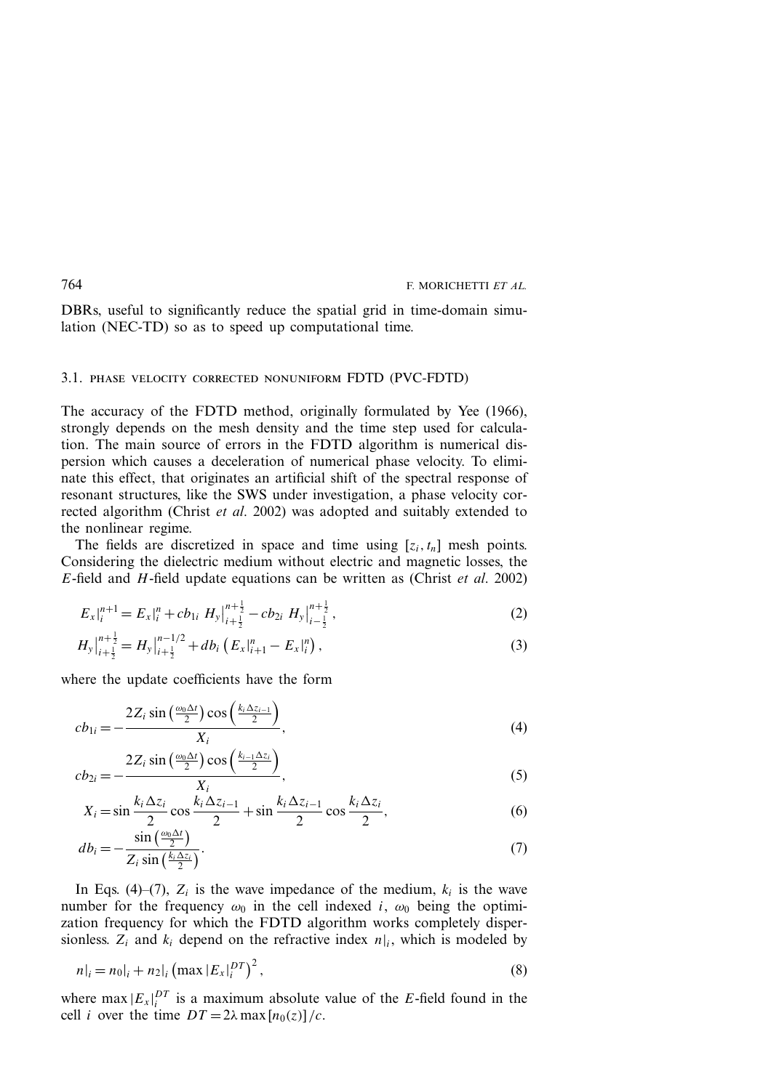DBRs, useful to significantly reduce the spatial grid in time-domain simulation (NEC-TD) so as to speed up computational time.

### 3.1. phase velocity corrected nonuniform FDTD (PVC-FDTD)

The accuracy of the FDTD method, originally formulated by Yee (1966), strongly depends on the mesh density and the time step used for calculation. The main source of errors in the FDTD algorithm is numerical dispersion which causes a deceleration of numerical phase velocity. To eliminate this effect, that originates an artificial shift of the spectral response of resonant structures, like the SWS under investigation, a phase velocity corrected algorithm (Christ *et al*. 2002) was adopted and suitably extended to the nonlinear regime.

The fields are discretized in space and time using  $[z_i, t_n]$  mesh points. Considering the dielectric medium without electric and magnetic losses, the E-field and H-field update equations can be written as (Christ *et al*. 2002)

$$
E_x|_i^{n+1} = E_x|_i^n + cb_{1i} \ H_y|_{i+\frac{1}{2}}^{n+\frac{1}{2}} - cb_{2i} \ H_y|_{i-\frac{1}{2}}^{n+\frac{1}{2}},\tag{2}
$$

$$
H_{y}\Big|_{i+\frac{1}{2}}^{n+\frac{1}{2}} = H_{y}\Big|_{i+\frac{1}{2}}^{n-1/2} + db_{i}\left(E_{x}\Big|_{i+1}^{n} - E_{x}\Big|_{i}^{n}\right),\tag{3}
$$

where the update coefficients have the form

$$
cb_{1i} = -\frac{2Z_i \sin\left(\frac{\omega_0 \Delta t}{2}\right) \cos\left(\frac{k_i \Delta z_{i-1}}{2}\right)}{X_i},\tag{4}
$$

$$
cb_{2i} = -\frac{2Z_i \sin\left(\frac{\omega_0 \Delta t}{2}\right) \cos\left(\frac{k_{i-1} \Delta z_i}{2}\right)}{X_i},\tag{5}
$$

$$
X_i = \sin\frac{k_i \Delta z_i}{2} \cos\frac{k_i \Delta z_{i-1}}{2} + \sin\frac{k_i \Delta z_{i-1}}{2} \cos\frac{k_i \Delta z_i}{2},
$$
\n
$$
(6)
$$

$$
db_i = -\frac{\sin\left(\frac{\omega_0 \Delta t}{2}\right)}{Z_i \sin\left(\frac{k_i \Delta z_i}{2}\right)}.
$$
\n<sup>(7)</sup>

In Eqs. (4)–(7),  $Z_i$  is the wave impedance of the medium,  $k_i$  is the wave number for the frequency  $\omega_0$  in the cell indexed i,  $\omega_0$  being the optimization frequency for which the FDTD algorithm works completely dispersionless.  $Z_i$  and  $k_i$  depend on the refractive index  $n|_i$ , which is modeled by

$$
n|_{i} = n_0|_{i} + n_2|_{i} \left( \max |E_x|_{i}^{DT} \right)^2, \tag{8}
$$

where  $\max |E_x|_i^{DT}$  is a maximum absolute value of the E-field found in the cell *i* over the time  $DT = 2\lambda \max [n_0(z)]/c$ .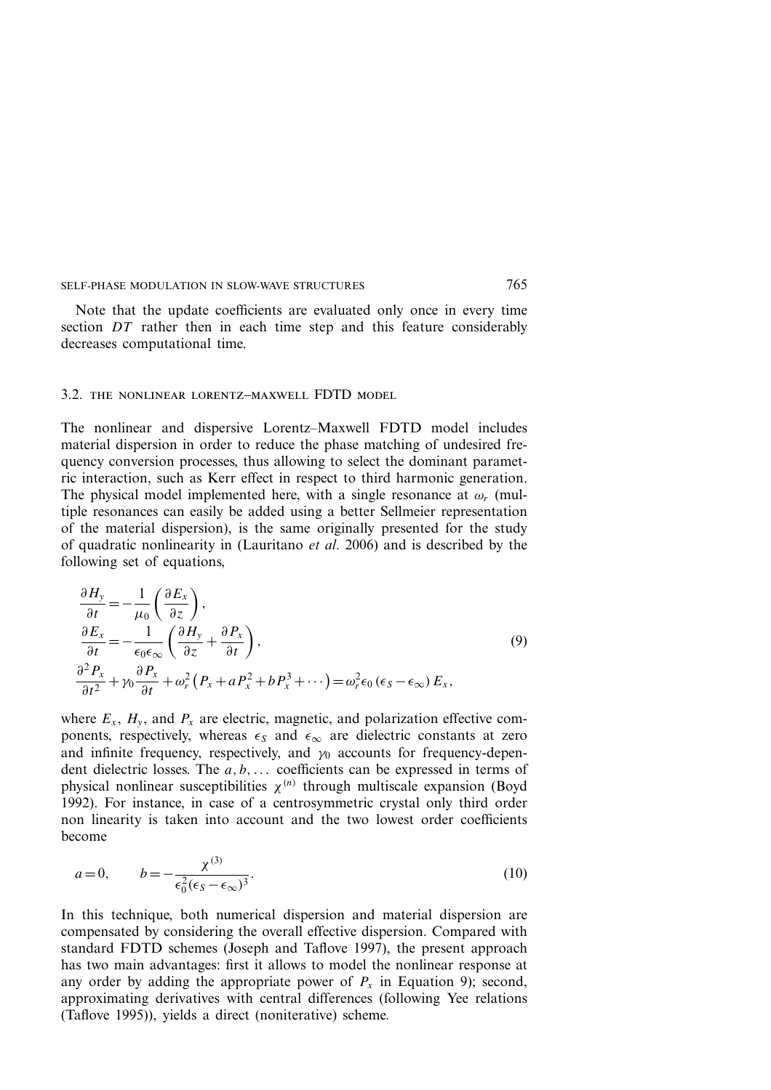Note that the update coefficients are evaluated only once in every time section DT rather then in each time step and this feature considerably decreases computational time.

#### 3.2. the nonlinear lorentz–maxwell FDTD model

The nonlinear and dispersive Lorentz–Maxwell FDTD model includes material dispersion in order to reduce the phase matching of undesired frequency conversion processes, thus allowing to select the dominant parametric interaction, such as Kerr effect in respect to third harmonic generation. The physical model implemented here, with a single resonance at  $\omega_r$  (multiple resonances can easily be added using a better Sellmeier representation of the material dispersion), is the same originally presented for the study of quadratic nonlinearity in (Lauritano *et al*. 2006) and is described by the following set of equations,

$$
\frac{\partial H_y}{\partial t} = -\frac{1}{\mu_0} \left( \frac{\partial E_x}{\partial z} \right), \n\frac{\partial E_x}{\partial t} = -\frac{1}{\epsilon_0 \epsilon_\infty} \left( \frac{\partial H_y}{\partial z} + \frac{\partial P_x}{\partial t} \right), \n\frac{\partial^2 P_x}{\partial t^2} + \gamma_0 \frac{\partial P_x}{\partial t} + \omega_r^2 (P_x + a P_x^2 + b P_x^3 + \cdots) = \omega_r^2 \epsilon_0 (\epsilon_s - \epsilon_\infty) E_x,
$$
\n(9)

where  $E_x$ ,  $H_y$ , and  $P_x$  are electric, magnetic, and polarization effective components, respectively, whereas  $\epsilon_s$  and  $\epsilon_\infty$  are dielectric constants at zero and infinite frequency, respectively, and  $\gamma_0$  accounts for frequency-dependent dielectric losses. The  $a, b, \ldots$  coefficients can be expressed in terms of physical nonlinear susceptibilities  $\chi^{(n)}$  through multiscale expansion (Boyd 1992). For instance, in case of a centrosymmetric crystal only third order non linearity is taken into account and the two lowest order coefficients become

$$
a = 0, \qquad b = -\frac{\chi^{(3)}}{\epsilon_0^2 (\epsilon_S - \epsilon_\infty)^3}.\tag{10}
$$

In this technique, both numerical dispersion and material dispersion are compensated by considering the overall effective dispersion. Compared with standard FDTD schemes (Joseph and Taflove 1997), the present approach has two main advantages: first it allows to model the nonlinear response at any order by adding the appropriate power of  $P_x$  in Equation 9); second, approximating derivatives with central differences (following Yee relations (Taflove 1995)), yields a direct (noniterative) scheme.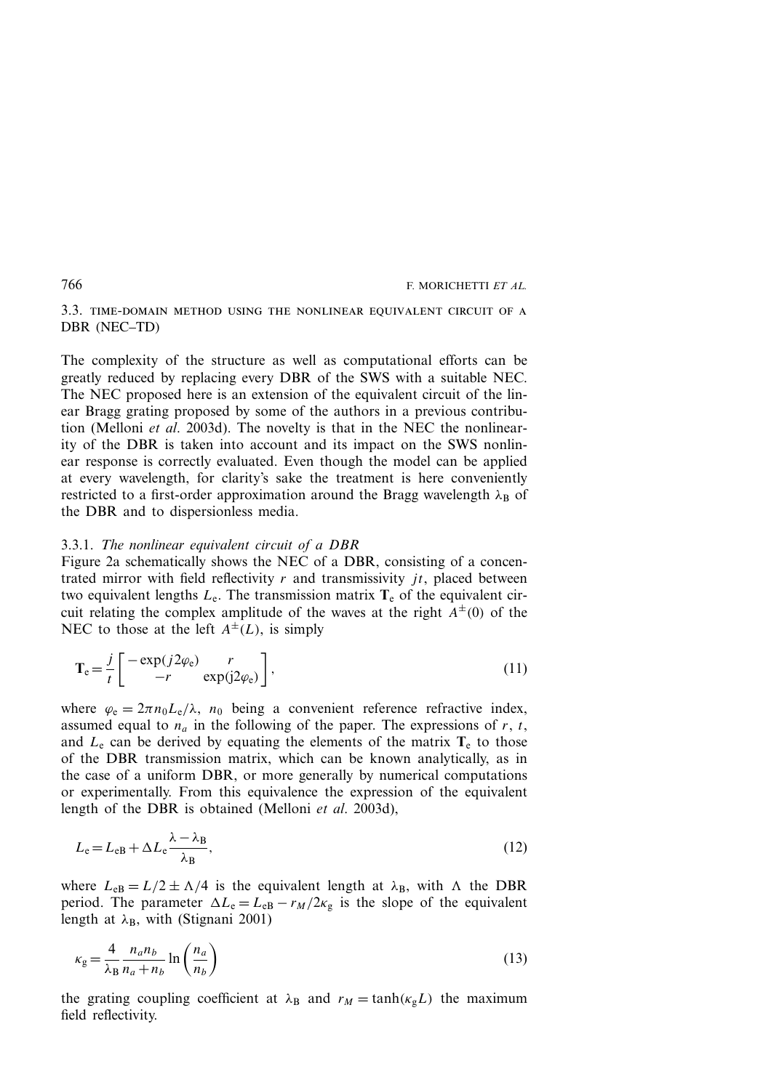3.3. time-domain method using the nonlinear equivalent circuit of a DBR (NEC–TD)

The complexity of the structure as well as computational efforts can be greatly reduced by replacing every DBR of the SWS with a suitable NEC. The NEC proposed here is an extension of the equivalent circuit of the linear Bragg grating proposed by some of the authors in a previous contribution (Melloni *et al*. 2003d). The novelty is that in the NEC the nonlinearity of the DBR is taken into account and its impact on the SWS nonlinear response is correctly evaluated. Even though the model can be applied at every wavelength, for clarity's sake the treatment is here conveniently restricted to a first-order approximation around the Bragg wavelength  $\lambda_B$  of the DBR and to dispersionless media.

#### 3.3.1. *The nonlinear equivalent circuit of a DBR*

Figure 2a schematically shows the NEC of a DBR, consisting of a concentrated mirror with field reflectivity  $r$  and transmissivity  $jt$ , placed between two equivalent lengths  $L_e$ . The transmission matrix  $T_e$  of the equivalent circuit relating the complex amplitude of the waves at the right  $A^{\pm}(0)$  of the NEC to those at the left  $A^{\pm}(L)$ , is simply

$$
\mathbf{T}_{e} = \frac{j}{t} \begin{bmatrix} -\exp(j2\varphi_{e}) & r \\ -r & \exp(j2\varphi_{e}) \end{bmatrix},
$$
\n(11)

where  $\varphi_e = 2\pi n_0 L_e / \lambda$ ,  $n_0$  being a convenient reference refractive index, assumed equal to  $n_a$  in the following of the paper. The expressions of r, t, and  $L<sub>e</sub>$  can be derived by equating the elements of the matrix  $T<sub>e</sub>$  to those of the DBR transmission matrix, which can be known analytically, as in the case of a uniform DBR, or more generally by numerical computations or experimentally. From this equivalence the expression of the equivalent length of the DBR is obtained (Melloni *et al*. 2003d),

$$
L_{\rm e} = L_{\rm eB} + \Delta L_{\rm e} \frac{\lambda - \lambda_{\rm B}}{\lambda_{\rm B}},\tag{12}
$$

where  $L_{\text{eB}} = L/2 \pm \Lambda/4$  is the equivalent length at  $\lambda_{\text{B}}$ , with  $\Lambda$  the DBR period. The parameter  $\Delta L_e = L_{eB} - r_M/2\kappa_g$  is the slope of the equivalent length at  $\lambda_B$ , with (Stignani 2001)

$$
\kappa_{\rm g} = \frac{4}{\lambda_{\rm B}} \frac{n_a n_b}{n_a + n_b} \ln \left( \frac{n_a}{n_b} \right) \tag{13}
$$

the grating coupling coefficient at  $\lambda_B$  and  $r_M = \tanh(\kappa_g L)$  the maximum field reflectivity.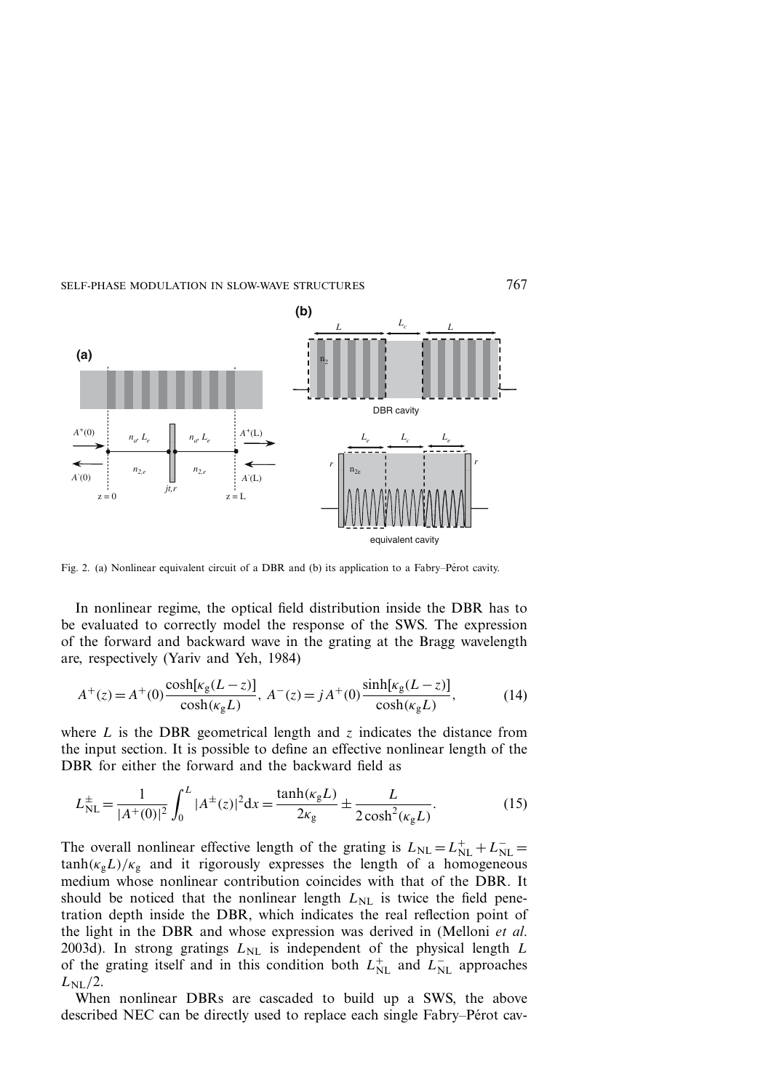

Fig. 2. (a) Nonlinear equivalent circuit of a DBR and (b) its application to a Fabry–Pérot cavity.

In nonlinear regime, the optical field distribution inside the DBR has to be evaluated to correctly model the response of the SWS. The expression of the forward and backward wave in the grating at the Bragg wavelength are, respectively (Yariv and Yeh, 1984)

$$
A^{+}(z) = A^{+}(0) \frac{\cosh[\kappa_{g}(L-z)]}{\cosh(\kappa_{g}L)}, \ A^{-}(z) = jA^{+}(0) \frac{\sinh[\kappa_{g}(L-z)]}{\cosh(\kappa_{g}L)}, \tag{14}
$$

where L is the DBR geometrical length and z indicates the distance from the input section. It is possible to define an effective nonlinear length of the DBR for either the forward and the backward field as

$$
L_{\rm NL}^{\pm} = \frac{1}{|A^+(0)|^2} \int_0^L |A^{\pm}(z)|^2 dx = \frac{\tanh(\kappa_g L)}{2\kappa_g} \pm \frac{L}{2\cosh^2(\kappa_g L)}.
$$
 (15)

The overall nonlinear effective length of the grating is  $L_{NL} = L_{NL}^{+} + L_{NL}^{-}$  $tanh(\kappa_g L)/\kappa_g$  and it rigorously expresses the length of a homogeneous medium whose nonlinear contribution coincides with that of the DBR. It should be noticed that the nonlinear length  $L_{NL}$  is twice the field penetration depth inside the DBR, which indicates the real reflection point of the light in the DBR and whose expression was derived in (Melloni *et al*. 2003d). In strong gratings  $L_{\text{NL}}$  is independent of the physical length L of the grating itself and in this condition both  $L_{NL}^{+}$  and  $L_{NL}^{-}$  approaches  $L_{\rm NL}/2$ .

When nonlinear DBRs are cascaded to build up a SWS, the above described NEC can be directly used to replace each single Fabry–Pérot cav-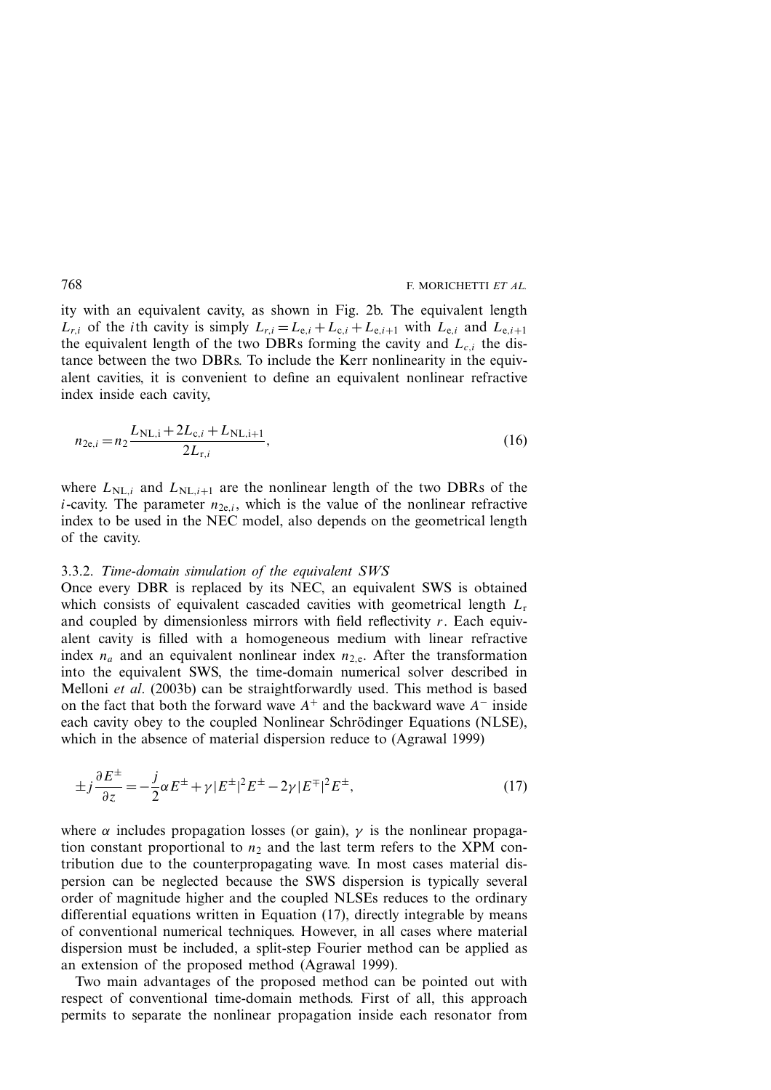ity with an equivalent cavity, as shown in Fig. 2b. The equivalent length  $L_{r,i}$  of the *i*th cavity is simply  $L_{r,i} = L_{e,i} + L_{c,i} + L_{e,i+1}$  with  $L_{e,i}$  and  $L_{e,i+1}$ the equivalent length of the two DBRs forming the cavity and  $L_{c,i}$  the distance between the two DBRs. To include the Kerr nonlinearity in the equivalent cavities, it is convenient to define an equivalent nonlinear refractive index inside each cavity,

$$
n_{2e,i} = n_2 \frac{L_{\text{NL},i} + 2L_{c,i} + L_{\text{NL},i+1}}{2L_{r,i}},
$$
\n(16)

where  $L_{NL,i}$  and  $L_{NL,i+1}$  are the nonlinear length of the two DBRs of the *i*-cavity. The parameter  $n_{2e,i}$ , which is the value of the nonlinear refractive index to be used in the NEC model, also depends on the geometrical length of the cavity.

#### 3.3.2. *Time-domain simulation of the equivalent SWS*

Once every DBR is replaced by its NEC, an equivalent SWS is obtained which consists of equivalent cascaded cavities with geometrical length  $L_r$ and coupled by dimensionless mirrors with field reflectivity  $r$ . Each equivalent cavity is filled with a homogeneous medium with linear refractive index  $n_a$  and an equivalent nonlinear index  $n_{2,e}$ . After the transformation into the equivalent SWS, the time-domain numerical solver described in Melloni *et al*. (2003b) can be straightforwardly used. This method is based on the fact that both the forward wave  $A^+$  and the backward wave  $A^-$  inside each cavity obey to the coupled Nonlinear Schrödinger Equations (NLSE), which in the absence of material dispersion reduce to (Agrawal 1999)

$$
\pm j\frac{\partial E^{\pm}}{\partial z} = -\frac{j}{2}\alpha E^{\pm} + \gamma |E^{\pm}|^2 E^{\pm} - 2\gamma |E^{\mp}|^2 E^{\pm},\tag{17}
$$

where  $\alpha$  includes propagation losses (or gain),  $\gamma$  is the nonlinear propagation constant proportional to  $n_2$  and the last term refers to the XPM contribution due to the counterpropagating wave. In most cases material dispersion can be neglected because the SWS dispersion is typically several order of magnitude higher and the coupled NLSEs reduces to the ordinary differential equations written in Equation (17), directly integrable by means of conventional numerical techniques. However, in all cases where material dispersion must be included, a split-step Fourier method can be applied as an extension of the proposed method (Agrawal 1999).

Two main advantages of the proposed method can be pointed out with respect of conventional time-domain methods. First of all, this approach permits to separate the nonlinear propagation inside each resonator from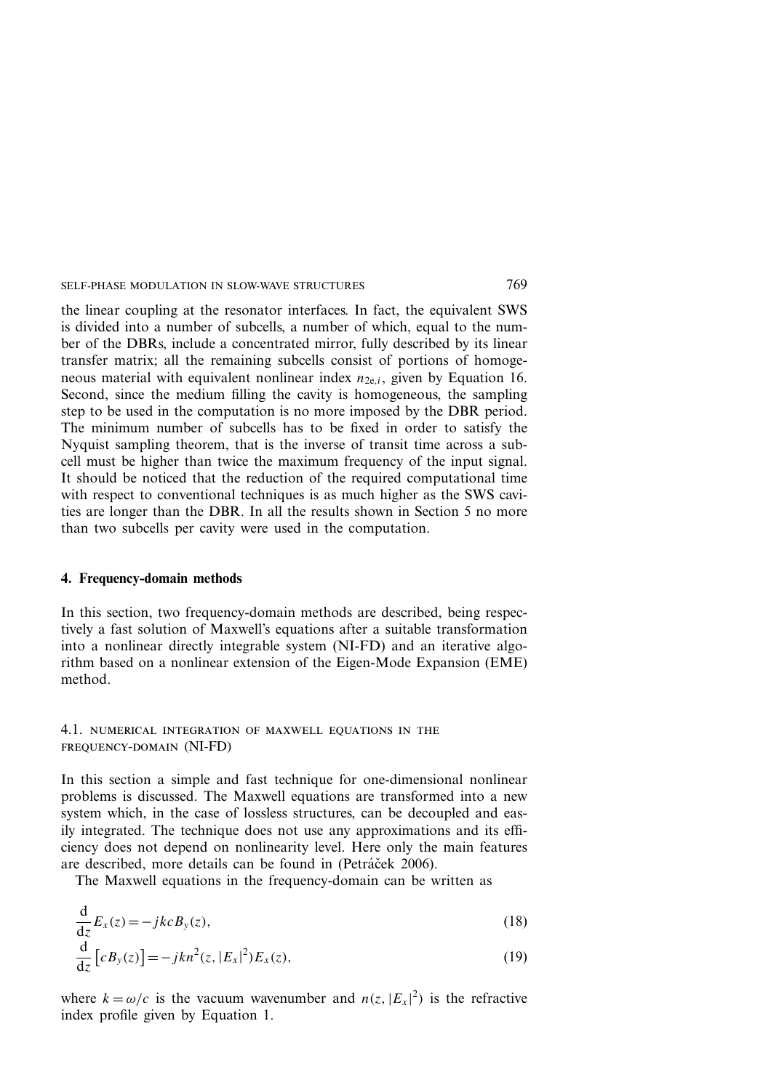the linear coupling at the resonator interfaces. In fact, the equivalent SWS is divided into a number of subcells, a number of which, equal to the number of the DBRs, include a concentrated mirror, fully described by its linear transfer matrix; all the remaining subcells consist of portions of homogeneous material with equivalent nonlinear index  $n_{2e,i}$ , given by Equation 16. Second, since the medium filling the cavity is homogeneous, the sampling step to be used in the computation is no more imposed by the DBR period. The minimum number of subcells has to be fixed in order to satisfy the Nyquist sampling theorem, that is the inverse of transit time across a subcell must be higher than twice the maximum frequency of the input signal. It should be noticed that the reduction of the required computational time with respect to conventional techniques is as much higher as the SWS cavities are longer than the DBR. In all the results shown in Section 5 no more than two subcells per cavity were used in the computation.

#### **4. Frequency-domain methods**

In this section, two frequency-domain methods are described, being respectively a fast solution of Maxwell's equations after a suitable transformation into a nonlinear directly integrable system (NI-FD) and an iterative algorithm based on a nonlinear extension of the Eigen-Mode Expansion (EME) method.

4.1. numerical integration of maxwell equations in the frequency-domain (NI-FD)

In this section a simple and fast technique for one-dimensional nonlinear problems is discussed. The Maxwell equations are transformed into a new system which, in the case of lossless structures, can be decoupled and easily integrated. The technique does not use any approximations and its efficiency does not depend on nonlinearity level. Here only the main features are described, more details can be found in (Petráček 2006).

The Maxwell equations in the frequency-domain can be written as

$$
\frac{d}{dz}E_x(z) = -jkcB_y(z),
$$
\n(18)  
\n
$$
\frac{d}{dz}[cR(z)] = -jkr^2(z)|E|^2E(z)
$$
\n(19)

$$
\frac{\mathrm{d}}{\mathrm{d}z}\left[cB_y(z)\right] = -jkn^2(z, |E_x|^2)E_x(z),\tag{19}
$$

where  $k = \omega/c$  is the vacuum wavenumber and  $n(z, |E_x|^2)$  is the refractive index profile given by Equation 1.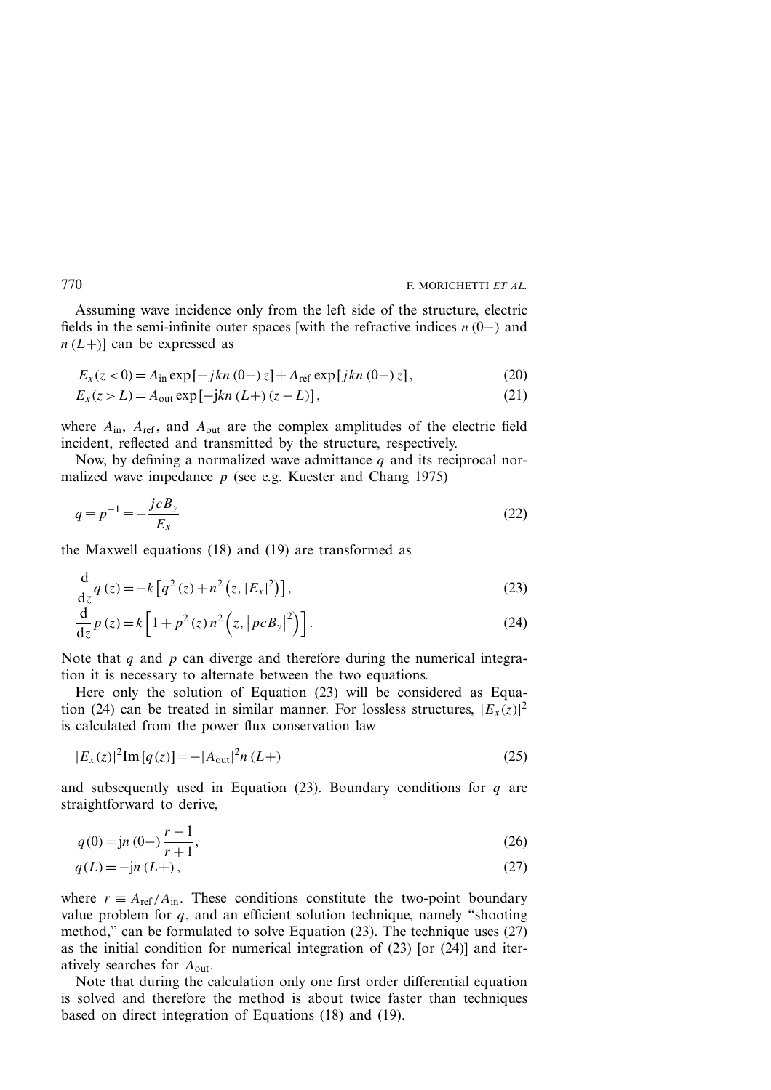Assuming wave incidence only from the left side of the structure, electric fields in the semi-infinite outer spaces [with the refractive indices  $n(0-)$  and  $n(L+1)$  can be expressed as

$$
E_x(z<0) = A_{\rm in} \exp[-jkn(0-z] + A_{\rm ref} \exp[jkn(0-z],
$$
 (20)

$$
E_x(z > L) = A_{\text{out}} \exp[-jkn (L+) (z - L)],
$$
\n(21)

where  $A_{in}$ ,  $A_{ref}$ , and  $A_{out}$  are the complex amplitudes of the electric field incident, reflected and transmitted by the structure, respectively.

Now, by defining a normalized wave admittance  $q$  and its reciprocal normalized wave impedance  $p$  (see e.g. Kuester and Chang 1975)

$$
q \equiv p^{-1} \equiv -\frac{j c B_y}{E_x} \tag{22}
$$

the Maxwell equations (18) and (19) are transformed as

$$
\frac{d}{dz}q(z) = -k\left[q^2(z) + n^2(z, |E_x|^2)\right],
$$
\n(23)

$$
\frac{\mathrm{d}}{\mathrm{d}z}p(z) = k\left[1 + p^2(z)n^2\left(z, \left|pcB_y\right|^2\right)\right].\tag{24}
$$

Note that q and  $p$  can diverge and therefore during the numerical integration it is necessary to alternate between the two equations.

Here only the solution of Equation (23) will be considered as Equation (24) can be treated in similar manner. For lossless structures,  $|E_x(z)|^2$ is calculated from the power flux conservation law

$$
|E_x(z)|^2 \text{Im} [q(z)] = -|A_{\text{out}}|^2 n (L+)
$$
\n(25)

and subsequently used in Equation (23). Boundary conditions for  $q$  are straightforward to derive,

$$
q(0) = \mathbf{j}n(0) - \frac{r-1}{r+1},\tag{26}
$$

$$
q(L) = -\mathrm{j}n(L+),\tag{27}
$$

where  $r = A_{\text{ref}}/A_{\text{in}}$ . These conditions constitute the two-point boundary value problem for  $q$ , and an efficient solution technique, namely "shooting method," can be formulated to solve Equation (23). The technique uses (27) as the initial condition for numerical integration of  $(23)$  [or  $(24)$ ] and iteratively searches for  $A_{\text{out}}$ .

Note that during the calculation only one first order differential equation is solved and therefore the method is about twice faster than techniques based on direct integration of Equations (18) and (19).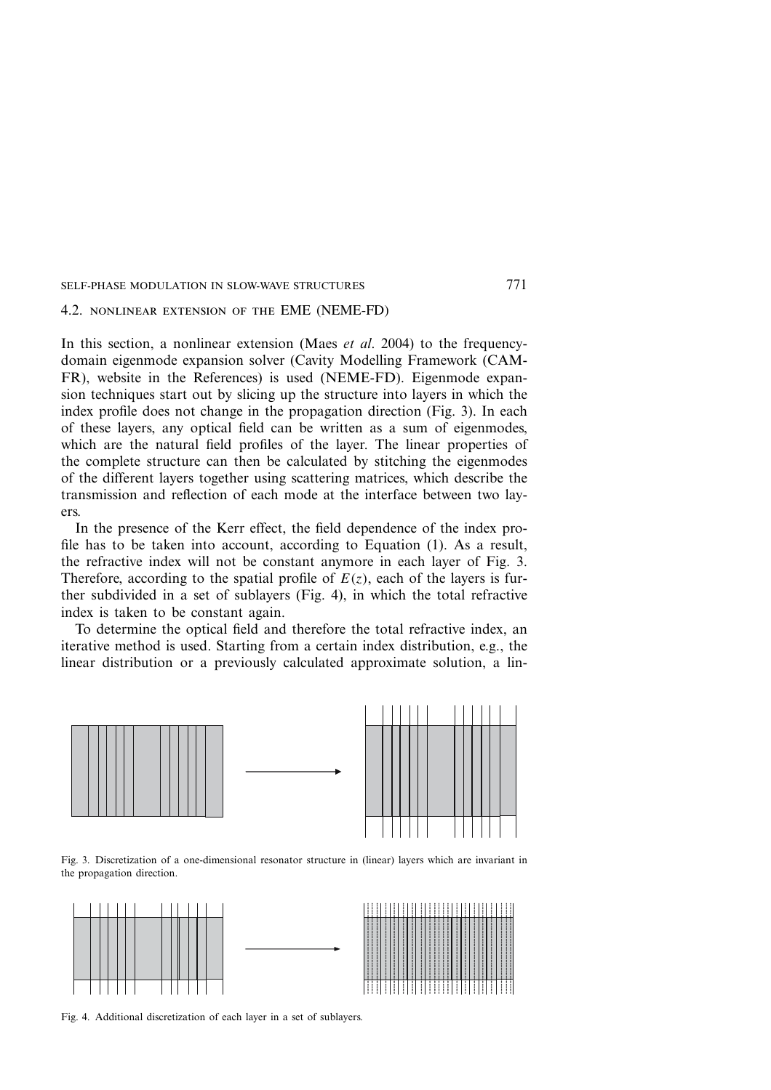#### 4.2. nonlinear extension of the EME (NEME-FD)

In this section, a nonlinear extension (Maes *et al*. 2004) to the frequencydomain eigenmode expansion solver (Cavity Modelling Framework (CAM-FR), website in the References) is used (NEME-FD). Eigenmode expansion techniques start out by slicing up the structure into layers in which the index profile does not change in the propagation direction (Fig. 3). In each of these layers, any optical field can be written as a sum of eigenmodes, which are the natural field profiles of the layer. The linear properties of the complete structure can then be calculated by stitching the eigenmodes of the different layers together using scattering matrices, which describe the transmission and reflection of each mode at the interface between two layers.

In the presence of the Kerr effect, the field dependence of the index profile has to be taken into account, according to Equation (1). As a result, the refractive index will not be constant anymore in each layer of Fig. 3. Therefore, according to the spatial profile of  $E(z)$ , each of the layers is further subdivided in a set of sublayers (Fig. 4), in which the total refractive index is taken to be constant again.

To determine the optical field and therefore the total refractive index, an iterative method is used. Starting from a certain index distribution, e.g., the linear distribution or a previously calculated approximate solution, a lin-



Fig. 3. Discretization of a one-dimensional resonator structure in (linear) layers which are invariant in the propagation direction.



Fig. 4. Additional discretization of each layer in a set of sublayers.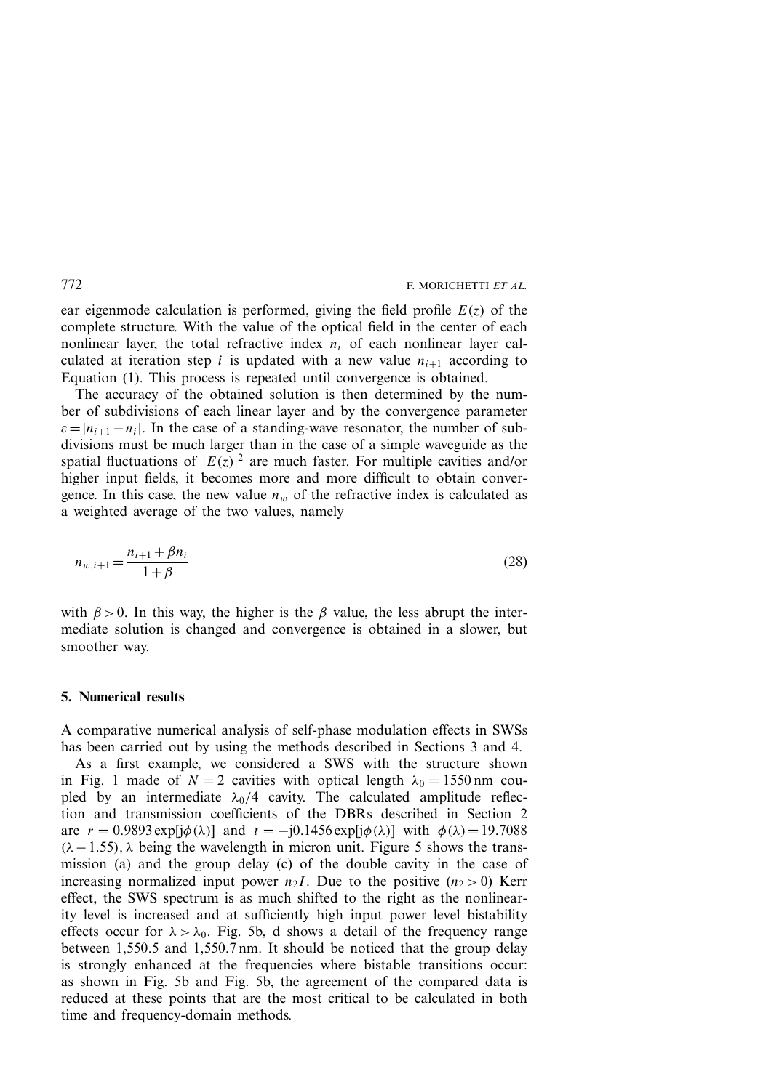ear eigenmode calculation is performed, giving the field profile  $E(z)$  of the complete structure. With the value of the optical field in the center of each nonlinear layer, the total refractive index  $n_i$  of each nonlinear layer calculated at iteration step i is updated with a new value  $n_{i+1}$  according to Equation (1). This process is repeated until convergence is obtained.

The accuracy of the obtained solution is then determined by the number of subdivisions of each linear layer and by the convergence parameter  $\varepsilon=|n_{i+1}-n_i|$ . In the case of a standing-wave resonator, the number of subdivisions must be much larger than in the case of a simple waveguide as the spatial fluctuations of  $|E(z)|^2$  are much faster. For multiple cavities and/or higher input fields, it becomes more and more difficult to obtain convergence. In this case, the new value  $n_w$  of the refractive index is calculated as a weighted average of the two values, namely

$$
n_{w,i+1} = \frac{n_{i+1} + \beta n_i}{1 + \beta} \tag{28}
$$

with  $\beta > 0$ . In this way, the higher is the  $\beta$  value, the less abrupt the intermediate solution is changed and convergence is obtained in a slower, but smoother way.

#### **5. Numerical results**

A comparative numerical analysis of self-phase modulation effects in SWSs has been carried out by using the methods described in Sections 3 and 4.

As a first example, we considered a SWS with the structure shown in Fig. 1 made of  $N = 2$  cavities with optical length  $\lambda_0 = 1550 \text{ nm}$  coupled by an intermediate  $\lambda_0/4$  cavity. The calculated amplitude reflection and transmission coefficients of the DBRs described in Section 2 are  $r = 0.9893 \exp[i\phi(\lambda)]$  and  $t = -i0.1456 \exp[i\phi(\lambda)]$  with  $\phi(\lambda) = 19.7088$  $(\lambda - 1.55)$ ,  $\lambda$  being the wavelength in micron unit. Figure 5 shows the transmission (a) and the group delay (c) of the double cavity in the case of increasing normalized input power  $n_2I$ . Due to the positive  $(n_2 > 0)$  Kerr effect, the SWS spectrum is as much shifted to the right as the nonlinearity level is increased and at sufficiently high input power level bistability effects occur for  $\lambda > \lambda_0$ . Fig. 5b, d shows a detail of the frequency range between 1,550.5 and 1,550.7 nm. It should be noticed that the group delay is strongly enhanced at the frequencies where bistable transitions occur: as shown in Fig. 5b and Fig. 5b, the agreement of the compared data is reduced at these points that are the most critical to be calculated in both time and frequency-domain methods.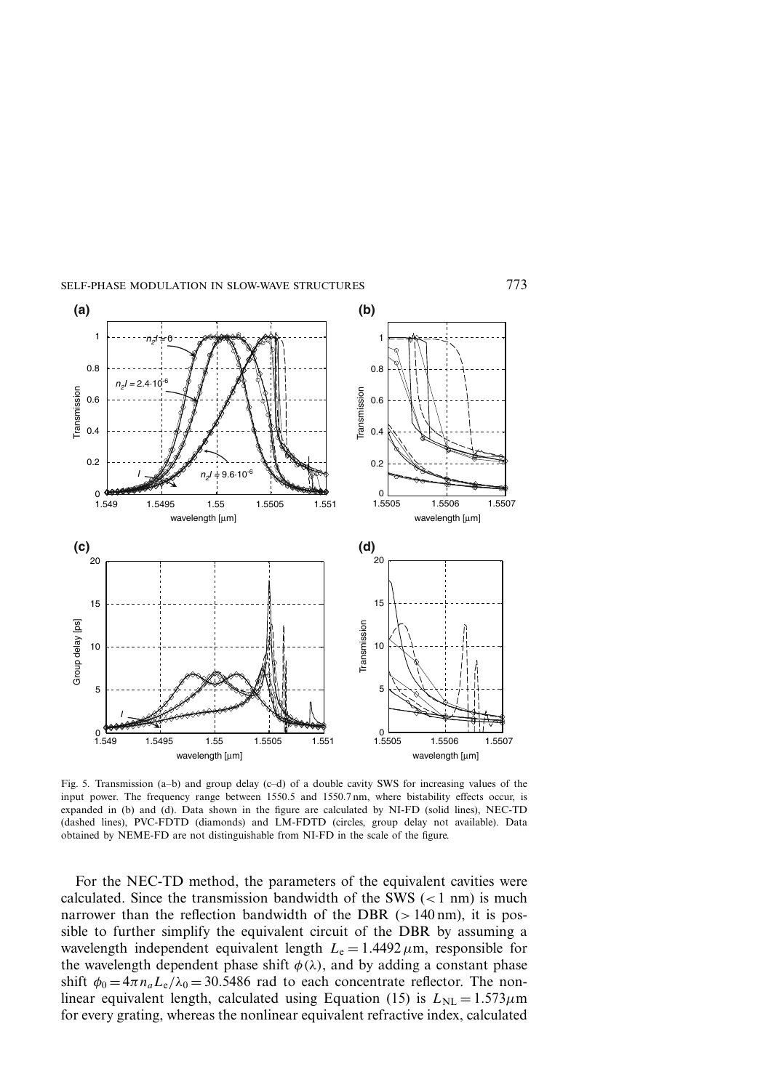

Fig. 5. Transmission (a–b) and group delay (c–d) of a double cavity SWS for increasing values of the input power. The frequency range between 1550.5 and 1550.7 nm, where bistability effects occur, is expanded in (b) and (d). Data shown in the figure are calculated by NI-FD (solid lines), NEC-TD (dashed lines), PVC-FDTD (diamonds) and LM-FDTD (circles, group delay not available). Data obtained by NEME-FD are not distinguishable from NI-FD in the scale of the figure.

For the NEC-TD method, the parameters of the equivalent cavities were calculated. Since the transmission bandwidth of the SWS  $\left($  < 1 nm) is much narrower than the reflection bandwidth of the DBR  $(>140 \text{ nm})$ , it is possible to further simplify the equivalent circuit of the DBR by assuming a wavelength independent equivalent length  $L<sub>e</sub> = 1.4492 \mu m$ , responsible for the wavelength dependent phase shift  $\phi(\lambda)$ , and by adding a constant phase shift  $\phi_0 = 4\pi n_a L_e / \lambda_0 = 30.5486$  rad to each concentrate reflector. The nonlinear equivalent length, calculated using Equation (15) is  $L_{NL} = 1.573 \mu m$ for every grating, whereas the nonlinear equivalent refractive index, calculated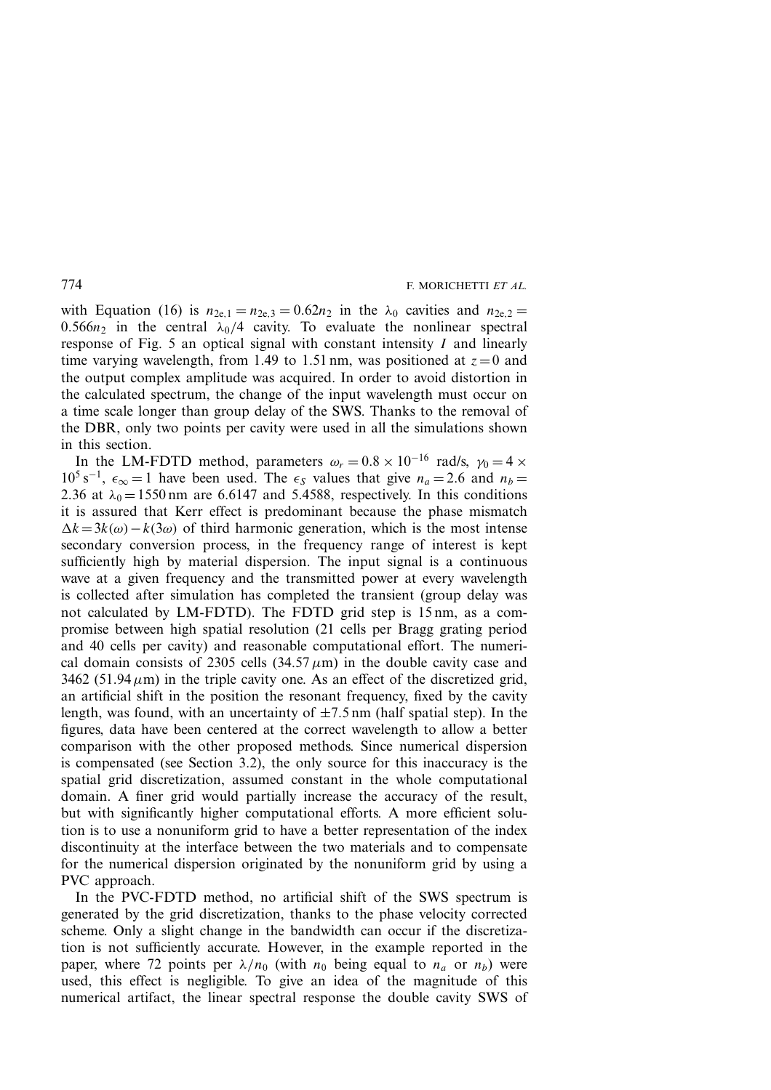with Equation (16) is  $n_{2e,1} = n_{2e,3} = 0.62n_2$  in the  $\lambda_0$  cavities and  $n_{2e,2} =$ 0.566 $n_2$  in the central  $\lambda_0/4$  cavity. To evaluate the nonlinear spectral response of Fig. 5 an optical signal with constant intensity  $I$  and linearly time varying wavelength, from 1.49 to 1.51 nm, was positioned at  $z=0$  and the output complex amplitude was acquired. In order to avoid distortion in the calculated spectrum, the change of the input wavelength must occur on a time scale longer than group delay of the SWS. Thanks to the removal of the DBR, only two points per cavity were used in all the simulations shown in this section.

In the LM-FDTD method, parameters  $\omega_r = 0.8 \times 10^{-16}$  rad/s,  $\gamma_0 = 4 \times$  $10^5$  s<sup>-1</sup>,  $\epsilon_{\infty} = 1$  have been used. The  $\epsilon_s$  values that give  $n_a = 2.6$  and  $n_b =$ 2.36 at  $\lambda_0 = 1550$  nm are 6.6147 and 5.4588, respectively. In this conditions it is assured that Kerr effect is predominant because the phase mismatch  $\Delta k = 3k(\omega) - k(3\omega)$  of third harmonic generation, which is the most intense secondary conversion process, in the frequency range of interest is kept sufficiently high by material dispersion. The input signal is a continuous wave at a given frequency and the transmitted power at every wavelength is collected after simulation has completed the transient (group delay was not calculated by LM-FDTD). The FDTD grid step is 15 nm, as a compromise between high spatial resolution (21 cells per Bragg grating period and 40 cells per cavity) and reasonable computational effort. The numerical domain consists of 2305 cells  $(34.57 \,\mu\text{m})$  in the double cavity case and 3462 (51.94 $\mu$ m) in the triple cavity one. As an effect of the discretized grid, an artificial shift in the position the resonant frequency, fixed by the cavity length, was found, with an uncertainty of  $\pm$ 7.5 nm (half spatial step). In the figures, data have been centered at the correct wavelength to allow a better comparison with the other proposed methods. Since numerical dispersion is compensated (see Section 3.2), the only source for this inaccuracy is the spatial grid discretization, assumed constant in the whole computational domain. A finer grid would partially increase the accuracy of the result, but with significantly higher computational efforts. A more efficient solution is to use a nonuniform grid to have a better representation of the index discontinuity at the interface between the two materials and to compensate for the numerical dispersion originated by the nonuniform grid by using a PVC approach.

In the PVC-FDTD method, no artificial shift of the SWS spectrum is generated by the grid discretization, thanks to the phase velocity corrected scheme. Only a slight change in the bandwidth can occur if the discretization is not sufficiently accurate. However, in the example reported in the paper, where 72 points per  $\lambda/n_0$  (with  $n_0$  being equal to  $n_a$  or  $n_b$ ) were used, this effect is negligible. To give an idea of the magnitude of this numerical artifact, the linear spectral response the double cavity SWS of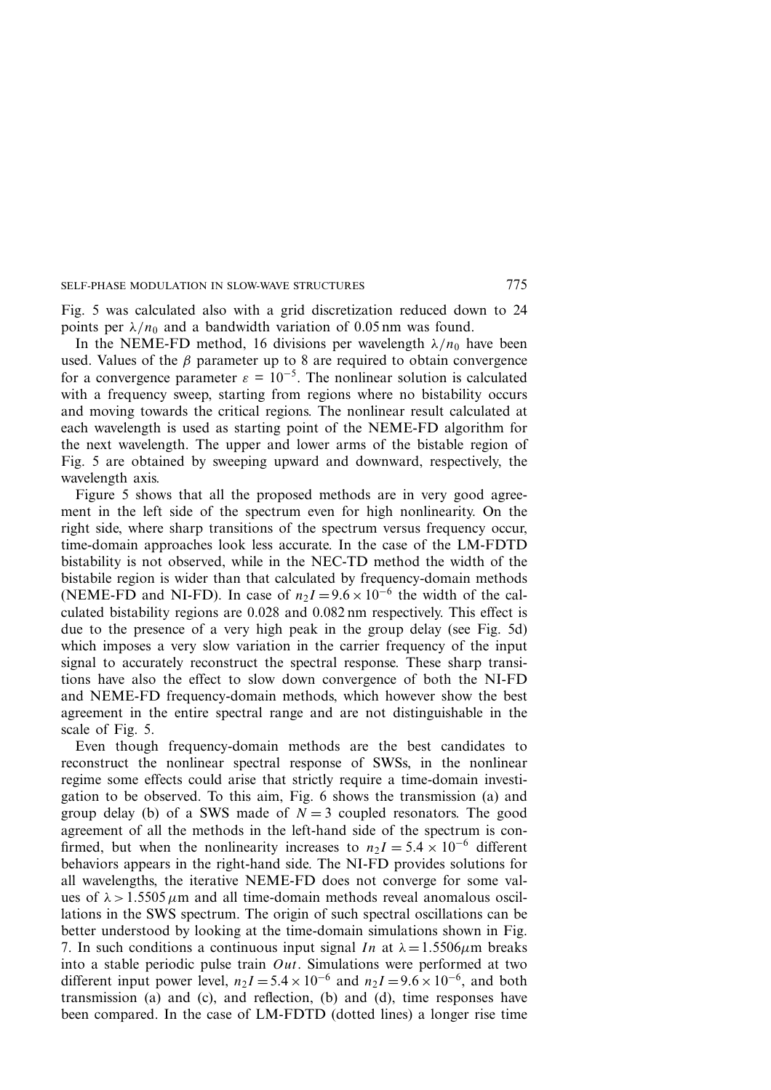Fig. 5 was calculated also with a grid discretization reduced down to 24 points per  $\lambda/n_0$  and a bandwidth variation of 0.05 nm was found.

In the NEME-FD method, 16 divisions per wavelength  $\lambda/n_0$  have been used. Values of the  $\beta$  parameter up to 8 are required to obtain convergence for a convergence parameter  $\varepsilon = 10^{-5}$ . The nonlinear solution is calculated with a frequency sweep, starting from regions where no bistability occurs and moving towards the critical regions. The nonlinear result calculated at each wavelength is used as starting point of the NEME-FD algorithm for the next wavelength. The upper and lower arms of the bistable region of Fig. 5 are obtained by sweeping upward and downward, respectively, the wavelength axis.

Figure 5 shows that all the proposed methods are in very good agreement in the left side of the spectrum even for high nonlinearity. On the right side, where sharp transitions of the spectrum versus frequency occur, time-domain approaches look less accurate. In the case of the LM-FDTD bistability is not observed, while in the NEC-TD method the width of the bistabile region is wider than that calculated by frequency-domain methods (NEME-FD and NI-FD). In case of  $n_2I = 9.6 \times 10^{-6}$  the width of the calculated bistability regions are 0.028 and 0.082 nm respectively. This effect is due to the presence of a very high peak in the group delay (see Fig. 5d) which imposes a very slow variation in the carrier frequency of the input signal to accurately reconstruct the spectral response. These sharp transitions have also the effect to slow down convergence of both the NI-FD and NEME-FD frequency-domain methods, which however show the best agreement in the entire spectral range and are not distinguishable in the scale of Fig. 5.

Even though frequency-domain methods are the best candidates to reconstruct the nonlinear spectral response of SWSs, in the nonlinear regime some effects could arise that strictly require a time-domain investigation to be observed. To this aim, Fig. 6 shows the transmission (a) and group delay (b) of a SWS made of  $N = 3$  coupled resonators. The good agreement of all the methods in the left-hand side of the spectrum is confirmed, but when the nonlinearity increases to  $n_2I = 5.4 \times 10^{-6}$  different behaviors appears in the right-hand side. The NI-FD provides solutions for all wavelengths, the iterative NEME-FD does not converge for some values of  $\lambda > 1.5505 \mu m$  and all time-domain methods reveal anomalous oscillations in the SWS spectrum. The origin of such spectral oscillations can be better understood by looking at the time-domain simulations shown in Fig. 7. In such conditions a continuous input signal In at  $\lambda = 1.5506 \mu$ m breaks into a stable periodic pulse train  $Out$ . Simulations were performed at two different input power level,  $n_2I = 5.4 \times 10^{-6}$  and  $n_2I = 9.6 \times 10^{-6}$ , and both transmission (a) and (c), and reflection, (b) and (d), time responses have been compared. In the case of LM-FDTD (dotted lines) a longer rise time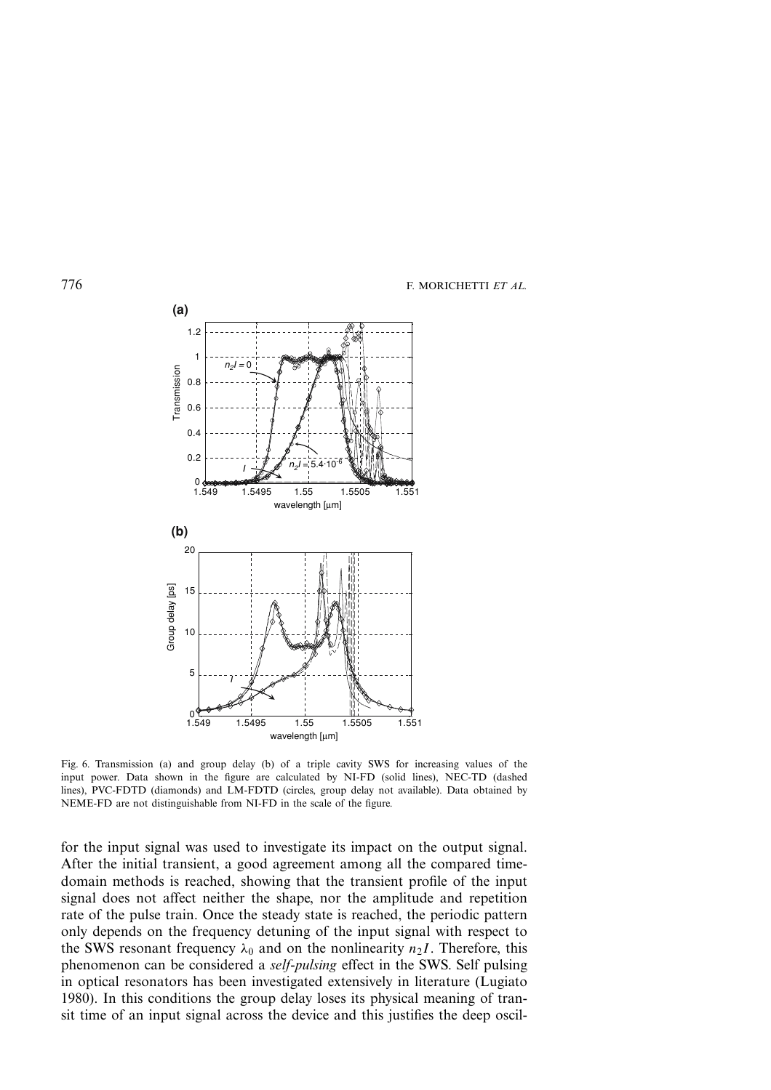

Fig. 6. Transmission (a) and group delay (b) of a triple cavity SWS for increasing values of the input power. Data shown in the figure are calculated by NI-FD (solid lines), NEC-TD (dashed lines), PVC-FDTD (diamonds) and LM-FDTD (circles, group delay not available). Data obtained by NEME-FD are not distinguishable from NI-FD in the scale of the figure.

for the input signal was used to investigate its impact on the output signal. After the initial transient, a good agreement among all the compared timedomain methods is reached, showing that the transient profile of the input signal does not affect neither the shape, nor the amplitude and repetition rate of the pulse train. Once the steady state is reached, the periodic pattern only depends on the frequency detuning of the input signal with respect to the SWS resonant frequency  $\lambda_0$  and on the nonlinearity  $n_2I$ . Therefore, this phenomenon can be considered a *self-pulsing* effect in the SWS. Self pulsing in optical resonators has been investigated extensively in literature (Lugiato 1980). In this conditions the group delay loses its physical meaning of transit time of an input signal across the device and this justifies the deep oscil-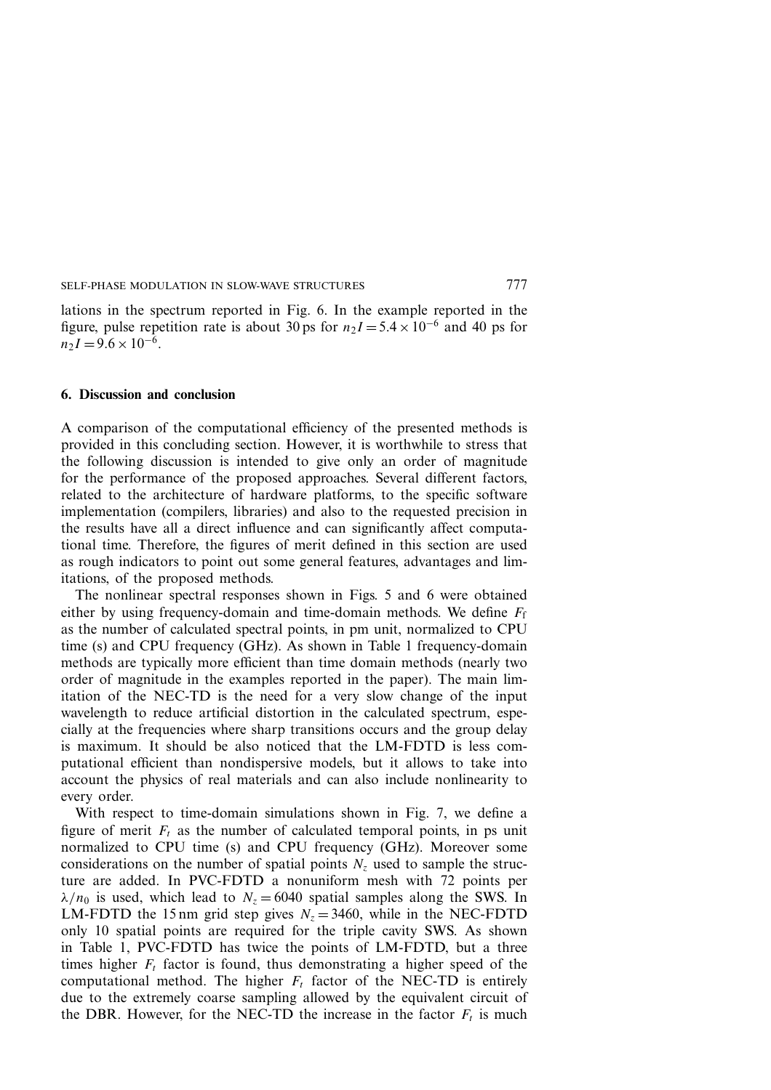lations in the spectrum reported in Fig. 6. In the example reported in the figure, pulse repetition rate is about 30 ps for  $n_2I = 5.4 \times 10^{-6}$  and 40 ps for  $n_2I = 9.6 \times 10^{-6}$ .

#### **6. Discussion and conclusion**

A comparison of the computational efficiency of the presented methods is provided in this concluding section. However, it is worthwhile to stress that the following discussion is intended to give only an order of magnitude for the performance of the proposed approaches. Several different factors, related to the architecture of hardware platforms, to the specific software implementation (compilers, libraries) and also to the requested precision in the results have all a direct influence and can significantly affect computational time. Therefore, the figures of merit defined in this section are used as rough indicators to point out some general features, advantages and limitations, of the proposed methods.

The nonlinear spectral responses shown in Figs. 5 and 6 were obtained either by using frequency-domain and time-domain methods. We define  $F_f$ as the number of calculated spectral points, in pm unit, normalized to CPU time (s) and CPU frequency (GHz). As shown in Table 1 frequency-domain methods are typically more efficient than time domain methods (nearly two order of magnitude in the examples reported in the paper). The main limitation of the NEC-TD is the need for a very slow change of the input wavelength to reduce artificial distortion in the calculated spectrum, especially at the frequencies where sharp transitions occurs and the group delay is maximum. It should be also noticed that the LM-FDTD is less computational efficient than nondispersive models, but it allows to take into account the physics of real materials and can also include nonlinearity to every order.

With respect to time-domain simulations shown in Fig. 7, we define a figure of merit  $F_t$  as the number of calculated temporal points, in ps unit normalized to CPU time (s) and CPU frequency (GHz). Moreover some considerations on the number of spatial points  $N_z$  used to sample the structure are added. In PVC-FDTD a nonuniform mesh with 72 points per  $\lambda/n_0$  is used, which lead to  $N_z = 6040$  spatial samples along the SWS. In LM-FDTD the 15 nm grid step gives  $N_z = 3460$ , while in the NEC-FDTD only 10 spatial points are required for the triple cavity SWS. As shown in Table 1, PVC-FDTD has twice the points of LM-FDTD, but a three times higher  $F_t$  factor is found, thus demonstrating a higher speed of the computational method. The higher  $F_t$  factor of the NEC-TD is entirely due to the extremely coarse sampling allowed by the equivalent circuit of the DBR. However, for the NEC-TD the increase in the factor  $F_t$  is much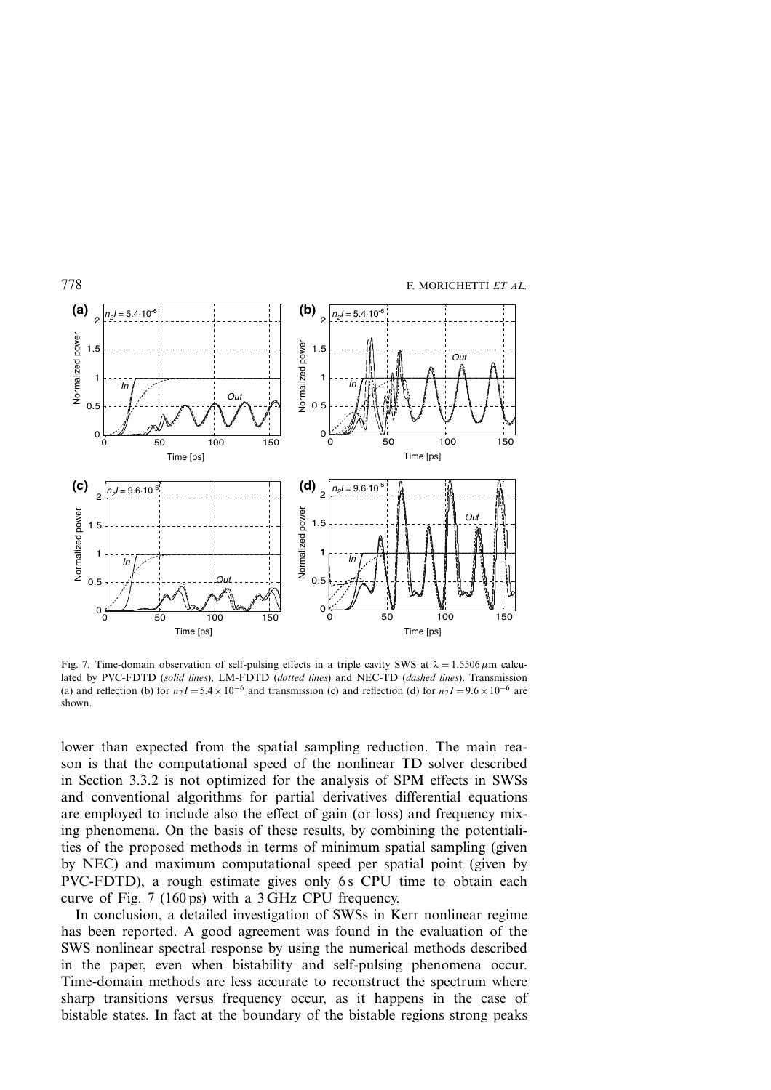

Fig. 7. Time-domain observation of self-pulsing effects in a triple cavity SWS at  $\lambda = 1.5506 \,\mu \text{m}$  calculated by PVC-FDTD (*solid lines*), LM-FDTD (*dotted lines*) and NEC-TD (*dashed lines*). Transmission (a) and reflection (b) for  $n_2I = 5.4 \times 10^{-6}$  and transmission (c) and reflection (d) for  $n_2I = 9.6 \times 10^{-6}$  are shown.

lower than expected from the spatial sampling reduction. The main reason is that the computational speed of the nonlinear TD solver described in Section 3.3.2 is not optimized for the analysis of SPM effects in SWSs and conventional algorithms for partial derivatives differential equations are employed to include also the effect of gain (or loss) and frequency mixing phenomena. On the basis of these results, by combining the potentialities of the proposed methods in terms of minimum spatial sampling (given by NEC) and maximum computational speed per spatial point (given by PVC-FDTD), a rough estimate gives only 6s CPU time to obtain each curve of Fig. 7 (160 ps) with a 3 GHz CPU frequency.

In conclusion, a detailed investigation of SWSs in Kerr nonlinear regime has been reported. A good agreement was found in the evaluation of the SWS nonlinear spectral response by using the numerical methods described in the paper, even when bistability and self-pulsing phenomena occur. Time-domain methods are less accurate to reconstruct the spectrum where sharp transitions versus frequency occur, as it happens in the case of bistable states. In fact at the boundary of the bistable regions strong peaks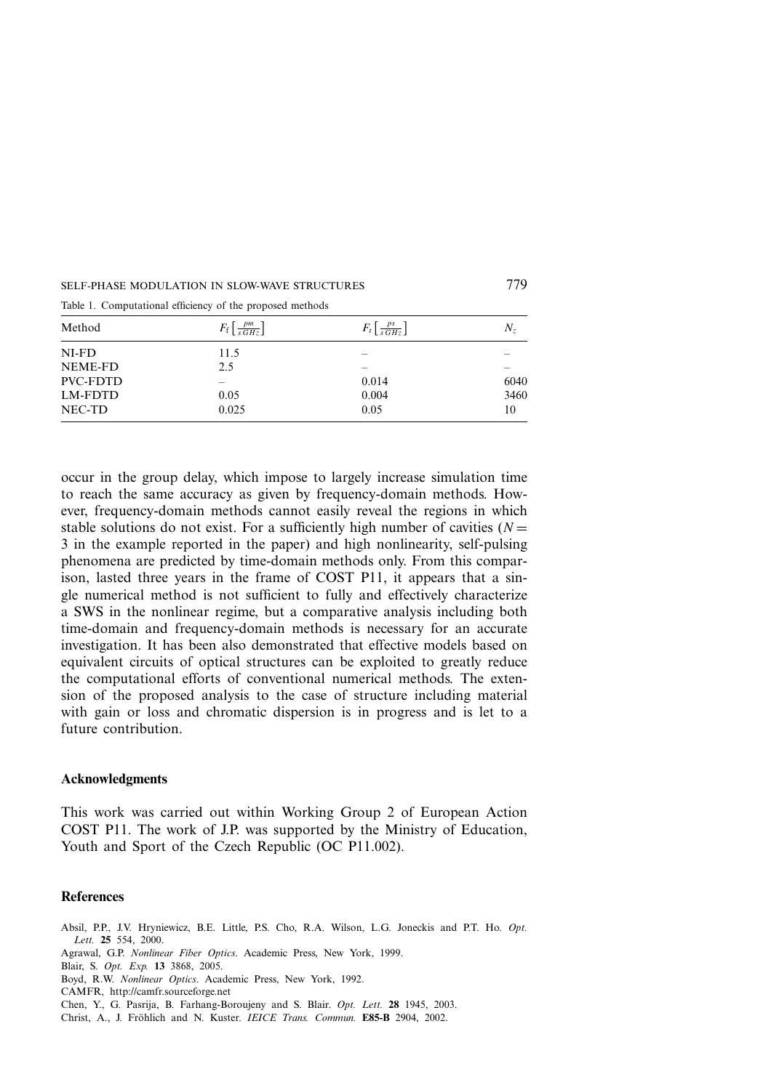#### SELF-PHASE MODULATION IN SLOW-WAVE STRUCTURES 779

| Method          | $F_f\left[\frac{pm}{sGHz}\right]$ | $F_t\left[\frac{ps}{sGHz}\right]$ | $N_z$ |
|-----------------|-----------------------------------|-----------------------------------|-------|
| $NI-FD$         | 11.5                              |                                   |       |
| NEME-FD         | 2.5                               |                                   |       |
| <b>PVC-FDTD</b> |                                   | 0.014                             | 6040  |
| LM-FDTD         | 0.05                              | 0.004                             | 3460  |
| NEC-TD          | 0.025                             | 0.05                              | 10    |

Table 1. Computational efficiency of the proposed methods

occur in the group delay, which impose to largely increase simulation time to reach the same accuracy as given by frequency-domain methods. However, frequency-domain methods cannot easily reveal the regions in which stable solutions do not exist. For a sufficiently high number of cavities ( $N =$ 3 in the example reported in the paper) and high nonlinearity, self-pulsing phenomena are predicted by time-domain methods only. From this comparison, lasted three years in the frame of COST P11, it appears that a single numerical method is not sufficient to fully and effectively characterize a SWS in the nonlinear regime, but a comparative analysis including both time-domain and frequency-domain methods is necessary for an accurate investigation. It has been also demonstrated that effective models based on equivalent circuits of optical structures can be exploited to greatly reduce the computational efforts of conventional numerical methods. The extension of the proposed analysis to the case of structure including material with gain or loss and chromatic dispersion is in progress and is let to a future contribution.

#### **Acknowledgments**

This work was carried out within Working Group 2 of European Action COST P11. The work of J.P. was supported by the Ministry of Education, Youth and Sport of the Czech Republic (OC P11.002).

#### **References**

Absil, P.P., J.V. Hryniewicz, B.E. Little, P.S. Cho, R.A. Wilson, L.G. Joneckis and P.T. Ho. *Opt. Lett.* **25** 554, 2000.

Agrawal, G.P. *Nonlinear Fiber Optics*. Academic Press, New York, 1999.

Blair, S. *Opt. Exp.* **13** 3868, 2005.

Boyd, R.W. *Nonlinear Optics*. Academic Press, New York, 1992.

CAMFR, http://camfr.sourceforge.net

Chen, Y., G. Pasrija, B. Farhang-Boroujeny and S. Blair. *Opt. Lett.* **28** 1945, 2003.

Christ, A., J. Fröhlich and N. Kuster. *IEICE Trans. Commun.* **E85-B** 2904, 2002.